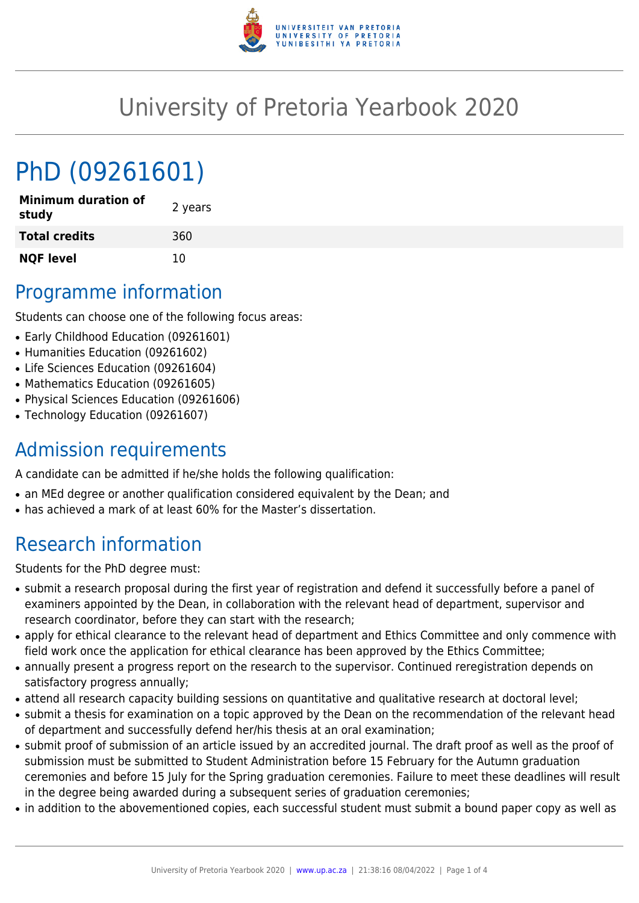

## University of Pretoria Yearbook 2020

# PhD (09261601)

| <b>Minimum duration of</b><br>study | 2 years |
|-------------------------------------|---------|
| <b>Total credits</b>                | 360     |
| <b>NQF level</b>                    | 10      |

### Programme information

Students can choose one of the following focus areas:

- Early Childhood Education (09261601)
- Humanities Education (09261602)
- Life Sciences Education (09261604)
- Mathematics Education (09261605)
- Physical Sciences Education (09261606)
- Technology Education (09261607)

### Admission requirements

A candidate can be admitted if he/she holds the following qualification:

- an MEd degree or another qualification considered equivalent by the Dean; and
- has achieved a mark of at least 60% for the Master's dissertation.

### Research information

Students for the PhD degree must:

- submit a research proposal during the first year of registration and defend it successfully before a panel of examiners appointed by the Dean, in collaboration with the relevant head of department, supervisor and research coordinator, before they can start with the research;
- apply for ethical clearance to the relevant head of department and Ethics Committee and only commence with field work once the application for ethical clearance has been approved by the Ethics Committee;
- annually present a progress report on the research to the supervisor. Continued reregistration depends on satisfactory progress annually;
- attend all research capacity building sessions on quantitative and qualitative research at doctoral level;
- submit a thesis for examination on a topic approved by the Dean on the recommendation of the relevant head of department and successfully defend her/his thesis at an oral examination;
- submit proof of submission of an article issued by an accredited journal. The draft proof as well as the proof of submission must be submitted to Student Administration before 15 February for the Autumn graduation ceremonies and before 15 July for the Spring graduation ceremonies. Failure to meet these deadlines will result in the degree being awarded during a subsequent series of graduation ceremonies;
- in addition to the abovementioned copies, each successful student must submit a bound paper copy as well as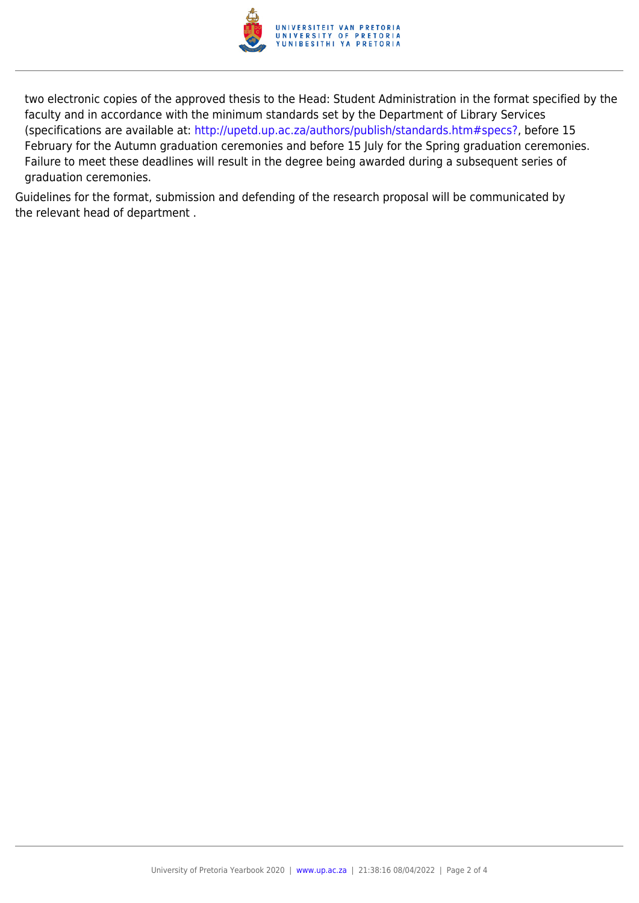

two electronic copies of the approved thesis to the Head: Student Administration in the format specified by the faculty and in accordance with the minimum standards set by the Department of Library Services (specifications are available at: [http://upetd.up.ac.za/authors/publish/standards.htm#specs?,](http://upetd.up.ac.za/authors/publish/standards.htm#specs) before 15 February for the Autumn graduation ceremonies and before 15 July for the Spring graduation ceremonies. Failure to meet these deadlines will result in the degree being awarded during a subsequent series of graduation ceremonies.

Guidelines for the format, submission and defending of the research proposal will be communicated by the relevant head of department .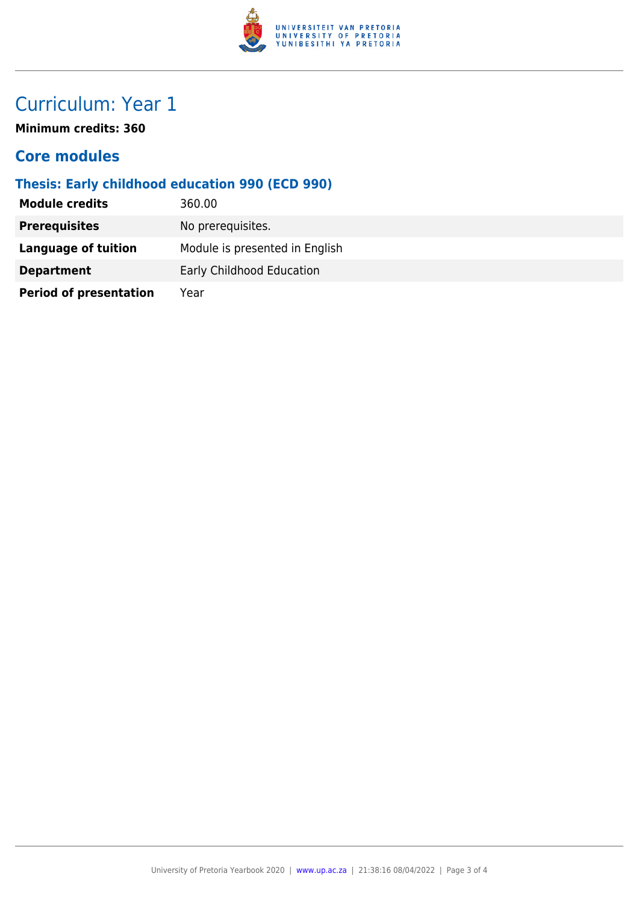

### Curriculum: Year 1

**Minimum credits: 360**

#### **Core modules**

#### **Thesis: Early childhood education 990 (ECD 990)**

| <b>Module credits</b>         | 360.00                         |
|-------------------------------|--------------------------------|
| <b>Prerequisites</b>          | No prerequisites.              |
| Language of tuition           | Module is presented in English |
| <b>Department</b>             | Early Childhood Education      |
| <b>Period of presentation</b> | Year                           |